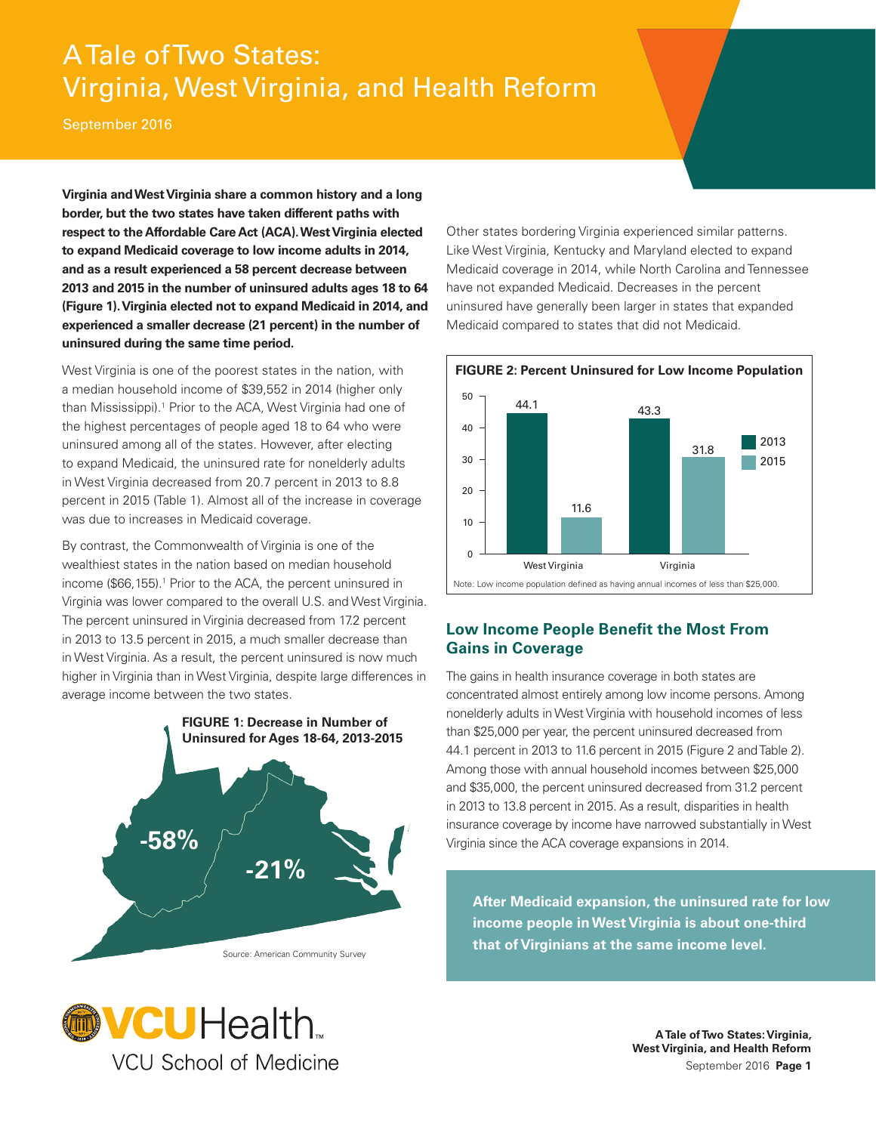# A Tale of Two States: Virginia, West Virginia, and Health Reform

September 2016

**Virginia and West Virginia share a common history and a long border, but the two states have taken different paths with respect to the Affordable Care Act (ACA).West Virginia elected to expand Medicaid coverage to low income adults in 2014, and as a result experienced a 58 percent decrease between 2013 and 2015 in the number of uninsured adults ages 18 to 64 (Figure 1).Virginia elected not to expand Medicaid in 2014, and experienced a smaller decrease (21 percent) in the number of uninsured during the same time period.** 

West Virginia is one of the poorest states in the nation, with a median household income of \$39,552 in 2014 (higher only than Mississippi).<sup>1</sup> Prior to the ACA, West Virginia had one of the highest percentages of people aged 18 to 64 who were uninsured among all of the states. However, after electing to expand Medicaid, the uninsured rate for nonelderly adults in West Virginia decreased from 20.7 percent in 2013 to 8.8 percent in 2015 (Table 1). Almost all of the increase in coverage was due to increases in Medicaid coverage.

By contrast, the Commonwealth of Virginia is one of the wealthiest states in the nation based on median household income (\$66,155).<sup>1</sup> Prior to the ACA, the percent uninsured in Virginia was lower compared to the overall U.S. and West Virginia. The percent uninsured in Virginia decreased from 17.2 percent in 2013 to 13.5 percent in 2015, a much smaller decrease than in West Virginia. As a result, the percent uninsured is now much higher in Virginia than in West Virginia, despite large differences in average income between the two states.



Other states bordering Virginia experienced similar patterns. Like West Virginia, Kentucky and Maryland elected to expand Medicaid coverage in 2014, while North Carolina and Tennessee have not expanded Medicaid. Decreases in the percent uninsured have generally been larger in states that expanded Medicaid compared to states that did not Medicaid.



## **Low Income People Beneft the Most From Gains in Coverage**

The gains in health insurance coverage in both states are concentrated almost entirely among low income persons. Among nonelderly adults in West Virginia with household incomes of less than \$25,000 per year, the percent uninsured decreased from 44.1 percent in 2013 to 11.6 percent in 2015 (Figure 2 and Table 2). Among those with annual household incomes between \$25,000 and \$35,000, the percent uninsured decreased from 31.2 percent in 2013 to 13.8 percent in 2015. As a result, disparities in health insurance coverage by income have narrowed substantially in West Virginia since the ACA coverage expansions in 2014.

**After Medicaid expansion, the uninsured rate for low income people in West Virginia is about one-third that of Virginians at the same income level.** 

**MCUHealth VCU School of Medicine**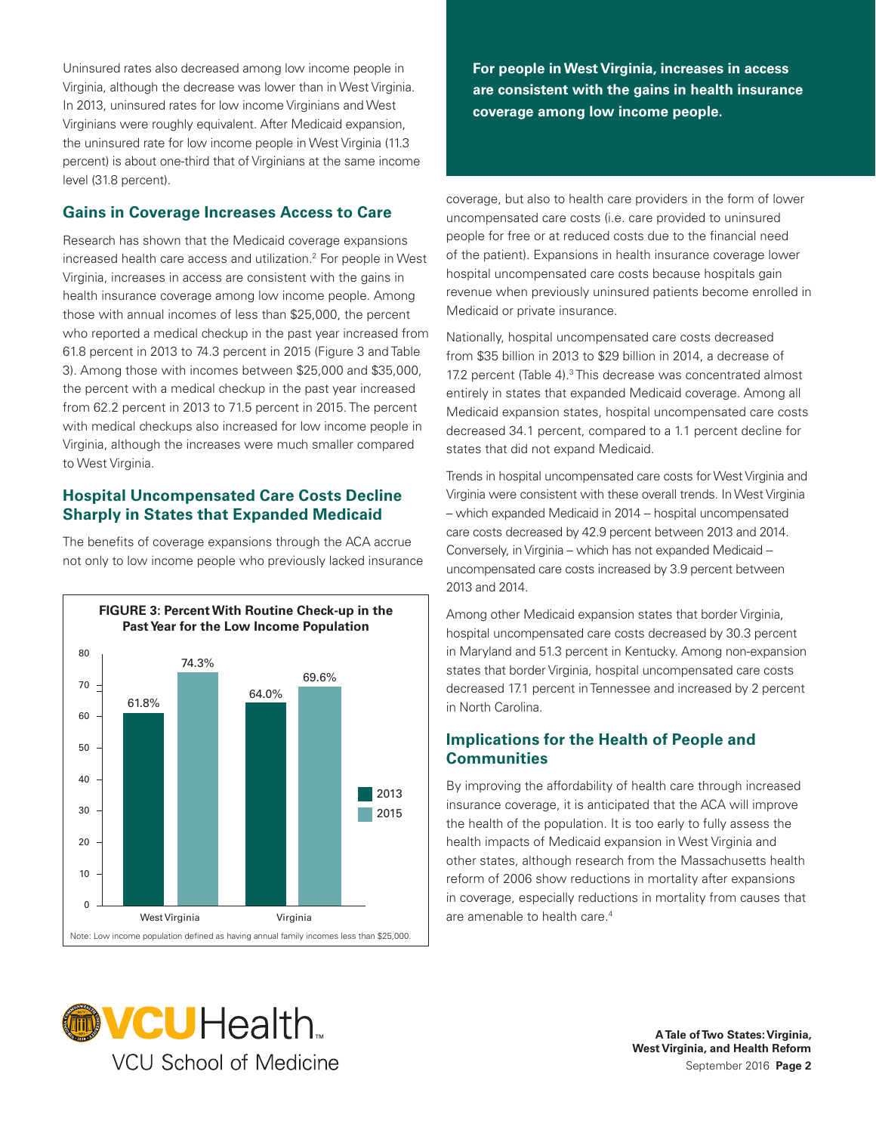Uninsured rates also decreased among low income people in Virginia, although the decrease was lower than in West Virginia. In 2013, uninsured rates for low income Virginians and West Virginians were roughly equivalent. After Medicaid expansion, the uninsured rate for low income people in West Virginia (11.3 percent) is about one-third that of Virginians at the same income level (31.8 percent).

## **Gains in Coverage Increases Access to Care**

Research has shown that the Medicaid coverage expansions increased health care access and utilization.2 For people in West Virginia, increases in access are consistent with the gains in health insurance coverage among low income people. Among those with annual incomes of less than \$25,000, the percent who reported a medical checkup in the past year increased from 61.8 percent in 2013 to 74.3 percent in 2015 (Figure 3 and Table 3). Among those with incomes between \$25,000 and \$35,000, the percent with a medical checkup in the past year increased from 62.2 percent in 2013 to 71.5 percent in 2015. The percent with medical checkups also increased for low income people in Virginia, although the increases were much smaller compared to West Virginia.

## **Hospital Uncompensated Care Costs Decline Sharply in States that Expanded Medicaid**

The benefits of coverage expansions through the ACA accrue not only to low income people who previously lacked insurance



**For people in West Virginia, increases in access are consistent with the gains in health insurance coverage among low income people.** 

coverage, but also to health care providers in the form of lower uncompensated care costs (i.e. care provided to uninsured people for free or at reduced costs due to the fnancial need of the patient). Expansions in health insurance coverage lower hospital uncompensated care costs because hospitals gain revenue when previously uninsured patients become enrolled in Medicaid or private insurance.

Nationally, hospital uncompensated care costs decreased from \$35 billion in 2013 to \$29 billion in 2014, a decrease of 17.2 percent (Table 4).<sup>3</sup> This decrease was concentrated almost entirely in states that expanded Medicaid coverage. Among all Medicaid expansion states, hospital uncompensated care costs decreased 34.1 percent, compared to a 1.1 percent decline for states that did not expand Medicaid.

Trends in hospital uncompensated care costs for West Virginia and Virginia were consistent with these overall trends. In West Virginia – which expanded Medicaid in 2014 -- hospital uncompensated care costs decreased by 42.9 percent between 2013 and 2014. Conversely, in Virginia – which has not expanded Medicaid – uncompensated care costs increased by 3.9 percent between 2013 and 2014.

Among other Medicaid expansion states that border Virginia, hospital uncompensated care costs decreased by 30.3 percent in Maryland and 51.3 percent in Kentucky. Among non-expansion states that border Virginia, hospital uncompensated care costs decreased 17.1 percent in Tennessee and increased by 2 percent in North Carolina.

## **Implications for the Health of People and Communities**

are amenable to health care.<sup>4</sup> By improving the affordability of health care through increased insurance coverage, it is anticipated that the ACA will improve the health of the population. It is too early to fully assess the health impacts of Medicaid expansion in West Virginia and other states, although research from the Massachusetts health reform of 2006 show reductions in mortality after expansions in coverage, especially reductions in mortality from causes that

![](_page_1_Picture_13.jpeg)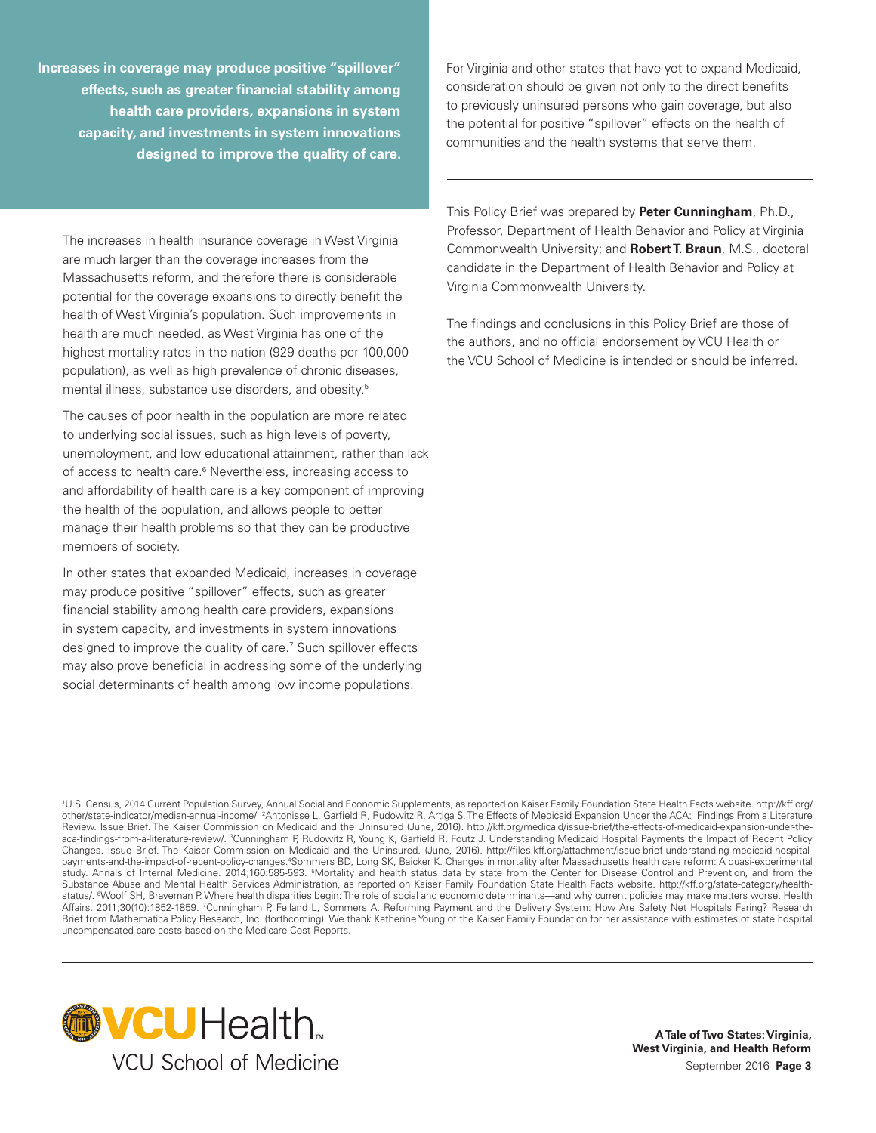**Increases in coverage may produce positive "spillover"** For Virginia and other states that have yet to expand Medicaid, the potential for positive "spillover" effects on the health of **capacity, and investments in system innovations** communities and the health systems that serve them. **designed to improve the quality of care.** 

 mental illness, substance use disorders, and obesity.5 The increases in health insurance coverage in West Virginia are much larger than the coverage increases from the Massachusetts reform, and therefore there is considerable potential for the coverage expansions to directly benefit the health of West Virginia's population. Such improvements in health are much needed, as West Virginia has one of the highest mortality rates in the nation (929 deaths per 100,000 population), as well as high prevalence of chronic diseases,

The causes of poor health in the population are more related to underlying social issues, such as high levels of poverty, unemployment, and low educational attainment, rather than lack of access to health care.<sup>6</sup> Nevertheless, increasing access to and affordability of health care is a key component of improving the health of the population, and allows people to better manage their health problems so that they can be productive members of society.

In other states that expanded Medicaid, increases in coverage may produce positive "spillover" effects, such as greater fnancial stability among health care providers, expansions in system capacity, and investments in system innovations designed to improve the quality of care.<sup>7</sup> Such spillover effects may also prove beneficial in addressing some of the underlying social determinants of health among low income populations.

**effects, such as greater financial stability among** consideration should be given not only to the direct benefits **to previously uninsured persons who gain coverage, but also health care providers, expansions in system health of** the potential for positive "spillover" effects on the health of

> This Policy Brief was prepared by **Peter Cunningham**, Ph.D., Professor, Department of Health Behavior and Policy at Virginia Commonwealth University; and **Robert T. Braun**, M.S., doctoral candidate in the Department of Health Behavior and Policy at Virginia Commonwealth University.

The findings and conclusions in this Policy Brief are those of the authors, and no official endorsement by VCU Health or the VCU School of Medicine is intended or should be inferred.

1 U.S. Census, 2014 Current Population Survey, Annual Social and Economic Supplements, as reported on Kaiser Family Foundation State Health Facts website.<http://kff.org>/ other/state-indicator/median-annual-income/ <sup>2</sup>Antonisse L, Garfield R, Rudowitz R, Artiga S. The Effects of Medicaid Expansion Under the ACA: Findings From a Literature Review. Issue Brief. The Kaiser Commission on Medicaid and the Uninsured (June, 2016). <http://kff.org/medicaid/issue-brief/the-effects-of-medicaid-expansion-under-the>aca-findings-from-a-literature-review/. <sup>3</sup>Cunningham P, Rudowitz R, Young K, Garfield R, Foutz J. Understanding Medicaid Hospital Payments the Impact of Recent Policy Changes. Issue Brief. The Kaiser Commission on Medicaid and the Uninsured. (June, 2016). [http://fles.kff.org/attachment/issue-brief-understanding-medicaid-hospital](http://files.kff.org/attachment/issue-brief-understanding-medicaid-hospital)payments-and-the-impact-of-recent-policy-changes.4Sommers BD, Long SK, Baicker K. Changes in mortality after Massachusetts health care reform: A quasi-experimental study. Annals of Internal Medicine. 2014;160:585-593. <sup>5</sup>Mortality and health status data by state from the Center for Disease Control and Prevention, and from the Substance Abuse and Mental Health Services Administration, as reported on Kaiser Family Foundation State Health Facts website. <http://kff.org/state-category/health>status/. <sup>6</sup>Woolf SH, Braveman P. Where health disparities begin: The role of social and economic determinants—and why current policies may make matters worse. Health Affairs. 2011;30(10):1852-1859. 'Cunningham P, Felland L, Sommers A. Reforming Payment and the Delivery System: How Are Safety Net Hospitals Faring? Research Brief from Mathematica Policy Research, Inc. (forthcoming). We thank Katherine Young of the Kaiser Family Foundation for her assistance with estimates of state hospital uncompensated care costs based on the Medicare Cost Reports.

![](_page_2_Picture_8.jpeg)